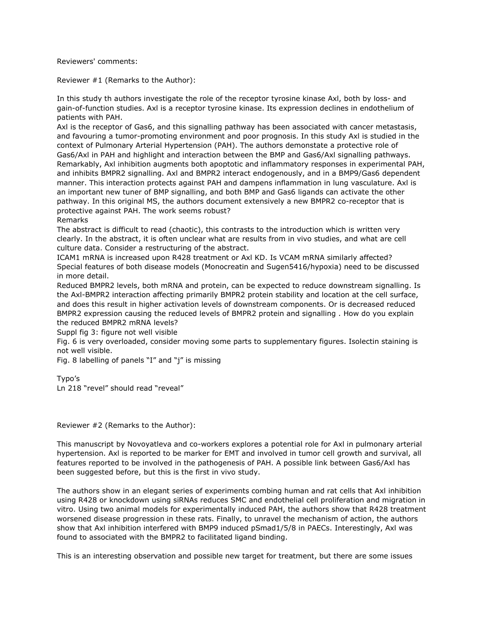Reviewers' comments:

Reviewer #1 (Remarks to the Author):

In this study th authors investigate the role of the receptor tyrosine kinase Axl, both by loss- and gain-of-function studies. Axl is a receptor tyrosine kinase. Its expression declines in endothelium of patients with PAH.

Axl is the receptor of Gas6, and this signalling pathway has been associated with cancer metastasis, and favouring a tumor-promoting environment and poor prognosis. In this study Axl is studied in the context of Pulmonary Arterial Hypertension (PAH). The authors demonstate a protective role of Gas6/Axl in PAH and highlight and interaction between the BMP and Gas6/Axl signalling pathways. Remarkably, Axl inhibition augments both apoptotic and inflammatory responses in experimental PAH, and inhibits BMPR2 signalling. Axl and BMPR2 interact endogenously, and in a BMP9/Gas6 dependent manner. This interaction protects against PAH and dampens inflammation in lung vasculature. Axl is an important new tuner of BMP signalling, and both BMP and Gas6 ligands can activate the other pathway. In this original MS, the authors document extensively a new BMPR2 co-receptor that is protective against PAH. The work seems robust?

Remarks

The abstract is difficult to read (chaotic), this contrasts to the introduction which is written very clearly. In the abstract, it is often unclear what are results from in vivo studies, and what are cell culture data. Consider a restructuring of the abstract.

ICAM1 mRNA is increased upon R428 treatment or Axl KD. Is VCAM mRNA similarly affected? Special features of both disease models (Monocreatin and Sugen5416/hypoxia) need to be discussed in more detail.

Reduced BMPR2 levels, both mRNA and protein, can be expected to reduce downstream signalling. Is the Axl-BMPR2 interaction affecting primarily BMPR2 protein stability and location at the cell surface, and does this result in higher activation levels of downstream components. Or is decreased reduced BMPR2 expression causing the reduced levels of BMPR2 protein and signalling . How do you explain the reduced BMPR2 mRNA levels?

Suppl fig 3: figure not well visible

Fig. 6 is very overloaded, consider moving some parts to supplementary figures. Isolectin staining is not well visible.

Fig. 8 labelling of panels "I" and "j" is missing

Typo's

Ln 218 "revel" should read "reveal"

Reviewer #2 (Remarks to the Author):

This manuscript by Novoyatleva and co-workers explores a potential role for Axl in pulmonary arterial hypertension. Axl is reported to be marker for EMT and involved in tumor cell growth and survival, all features reported to be involved in the pathogenesis of PAH. A possible link between Gas6/Axl has been suggested before, but this is the first in vivo study.

The authors show in an elegant series of experiments combing human and rat cells that Axl inhibition using R428 or knockdown using siRNAs reduces SMC and endothelial cell proliferation and migration in vitro. Using two animal models for experimentally induced PAH, the authors show that R428 treatment worsened disease progression in these rats. Finally, to unravel the mechanism of action, the authors show that Axl inhibition interfered with BMP9 induced pSmad1/5/8 in PAECs. Interestingly, Axl was found to associated with the BMPR2 to facilitated ligand binding.

This is an interesting observation and possible new target for treatment, but there are some issues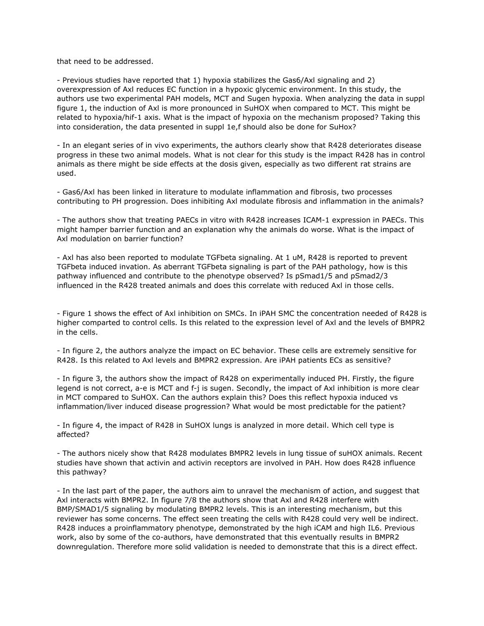that need to be addressed.

- Previous studies have reported that 1) hypoxia stabilizes the Gas6/Axl signaling and 2) overexpression of Axl reduces EC function in a hypoxic glycemic environment. In this study, the authors use two experimental PAH models, MCT and Sugen hypoxia. When analyzing the data in suppl figure 1, the induction of Axl is more pronounced in SuHOX when compared to MCT. This might be related to hypoxia/hif-1 axis. What is the impact of hypoxia on the mechanism proposed? Taking this into consideration, the data presented in suppl 1e,f should also be done for SuHox?

- In an elegant series of in vivo experiments, the authors clearly show that R428 deteriorates disease progress in these two animal models. What is not clear for this study is the impact R428 has in control animals as there might be side effects at the dosis given, especially as two different rat strains are used.

- Gas6/Axl has been linked in literature to modulate inflammation and fibrosis, two processes contributing to PH progression. Does inhibiting Axl modulate fibrosis and inflammation in the animals?

- The authors show that treating PAECs in vitro with R428 increases ICAM-1 expression in PAECs. This might hamper barrier function and an explanation why the animals do worse. What is the impact of Axl modulation on barrier function?

- Axl has also been reported to modulate TGFbeta signaling. At 1 uM, R428 is reported to prevent TGFbeta induced invation. As aberrant TGFbeta signaling is part of the PAH pathology, how is this pathway influenced and contribute to the phenotype observed? Is pSmad1/5 and pSmad2/3 influenced in the R428 treated animals and does this correlate with reduced Axl in those cells.

- Figure 1 shows the effect of Axl inhibition on SMCs. In iPAH SMC the concentration needed of R428 is higher comparted to control cells. Is this related to the expression level of Axl and the levels of BMPR2 in the cells.

- In figure 2, the authors analyze the impact on EC behavior. These cells are extremely sensitive for R428. Is this related to Axl levels and BMPR2 expression. Are iPAH patients ECs as sensitive?

- In figure 3, the authors show the impact of R428 on experimentally induced PH. Firstly, the figure legend is not correct, a-e is MCT and f-j is sugen. Secondly, the impact of Axl inhibition is more clear in MCT compared to SuHOX. Can the authors explain this? Does this reflect hypoxia induced vs inflammation/liver induced disease progression? What would be most predictable for the patient?

- In figure 4, the impact of R428 in SuHOX lungs is analyzed in more detail. Which cell type is affected?

- The authors nicely show that R428 modulates BMPR2 levels in lung tissue of suHOX animals. Recent studies have shown that activin and activin receptors are involved in PAH. How does R428 influence this pathway?

- In the last part of the paper, the authors aim to unravel the mechanism of action, and suggest that Axl interacts with BMPR2. In figure 7/8 the authors show that Axl and R428 interfere with BMP/SMAD1/5 signaling by modulating BMPR2 levels. This is an interesting mechanism, but this reviewer has some concerns. The effect seen treating the cells with R428 could very well be indirect. R428 induces a proinflammatory phenotype, demonstrated by the high iCAM and high IL6. Previous work, also by some of the co-authors, have demonstrated that this eventually results in BMPR2 downregulation. Therefore more solid validation is needed to demonstrate that this is a direct effect.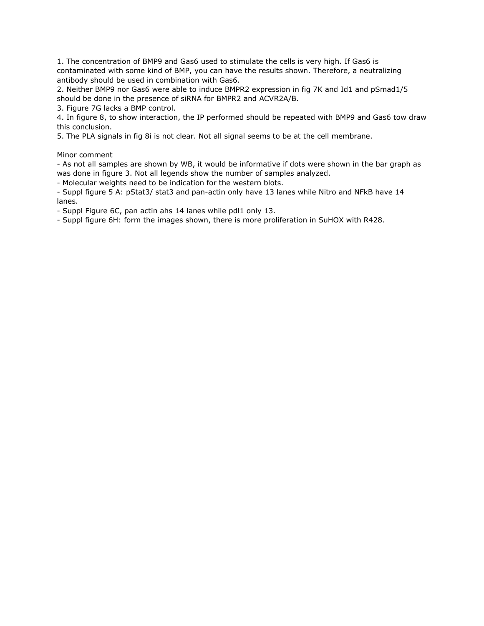1. The concentration of BMP9 and Gas6 used to stimulate the cells is very high. If Gas6 is contaminated with some kind of BMP, you can have the results shown. Therefore, a neutralizing antibody should be used in combination with Gas6.

2. Neither BMP9 nor Gas6 were able to induce BMPR2 expression in fig 7K and Id1 and pSmad1/5 should be done in the presence of siRNA for BMPR2 and ACVR2A/B.

3. Figure 7G lacks a BMP control.

4. In figure 8, to show interaction, the IP performed should be repeated with BMP9 and Gas6 tow draw this conclusion.

5. The PLA signals in fig 8i is not clear. Not all signal seems to be at the cell membrane.

Minor comment

- As not all samples are shown by WB, it would be informative if dots were shown in the bar graph as was done in figure 3. Not all legends show the number of samples analyzed.

- Molecular weights need to be indication for the western blots.

- Suppl figure 5 A: pStat3/ stat3 and pan-actin only have 13 lanes while Nitro and NFkB have 14 lanes.

- Suppl Figure 6C, pan actin ahs 14 lanes while pdl1 only 13.

- Suppl figure 6H: form the images shown, there is more proliferation in SuHOX with R428.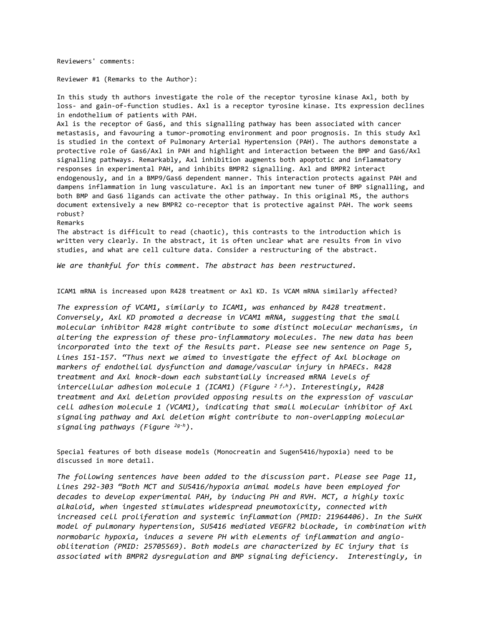Reviewers' comments:

Reviewer #1 (Remarks to the Author):

In this study th authors investigate the role of the receptor tyrosine kinase Axl, both by loss- and gain-of-function studies. Axl is a receptor tyrosine kinase. Its expression declines in endothelium of patients with PAH.

Axl is the receptor of Gas6, and this signalling pathway has been associated with cancer metastasis, and favouring a tumor-promoting environment and poor prognosis. In this study Axl is studied in the context of Pulmonary Arterial Hypertension (PAH). The authors demonstate a protective role of Gas6/Axl in PAH and highlight and interaction between the BMP and Gas6/Axl signalling pathways. Remarkably, Axl inhibition augments both apoptotic and inflammatory responses in experimental PAH, and inhibits BMPR2 signalling. Axl and BMPR2 interact endogenously, and in a BMP9/Gas6 dependent manner. This interaction protects against PAH and dampens inflammation in lung vasculature. Axl is an important new tuner of BMP signalling, and both BMP and Gas6 ligands can activate the other pathway. In this original MS, the authors document extensively a new BMPR2 co-receptor that is protective against PAH. The work seems robust?

Remarks

The abstract is difficult to read (chaotic), this contrasts to the introduction which is written very clearly. In the abstract, it is often unclear what are results from in vivo studies, and what are cell culture data. Consider a restructuring of the abstract.

*We are thankful for this comment. The abstract has been restructured.* 

ICAM1 mRNA is increased upon R428 treatment or Axl KD. Is VCAM mRNA similarly affected?

*The expression of VCAM1, similarly to ICAM1, was enhanced by R428 treatment. Conversely, Axl KD promoted a decrease in VCAM1 mRNA, suggesting that the small molecular inhibitor R428 might contribute to some distinct molecular mechanisms, in altering the expression of these pro-inflammatory molecules. The new data has been incorporated into the text of the Results part. Please see new sentence on Page 5, Lines 151-157. "Thus next we aimed to investigate the effect of Axl blockage on markers of endothelial dysfunction and damage/vascular injury in hPAECs. R428 treatment and Axl knock-down each substantially increased mRNA levels of intercellular adhesion molecule 1 (ICAM1) (Figure 2 f,h). Interestingly, R428 treatment and Axl deletion provided opposing results on the expression of vascular cell adhesion molecule 1 (VCAM1), indicating that small molecular inhibitor of Axl signaling pathway and Axl deletion might contribute to non-overlapping molecular signaling pathways (Figure 2g-h).*

Special features of both disease models (Monocreatin and Sugen5416/hypoxia) need to be discussed in more detail.

*The following sentences have been added to the discussion part. Please see Page 11, Lines 292-303 "Both MCT and SU5416/hypoxia animal models have been employed for decades to develop experimental PAH, by inducing PH and RVH. MCT, a highly toxic alkaloid, when ingested stimulates widespread pneumotoxicity, connected with increased cell proliferation and systemic inflammation (PMID: 21964406). In the SuHX model of pulmonary hypertension, SU5416 mediated VEGFR2 blockade, in combination with normobaric hypoxia, induces a severe PH with elements of inflammation and angioobliteration (PMID: 25705569). Both models are characterized by EC injury that is associated with BMPR2 dysregulation and BMP signaling deficiency. Interestingly, in*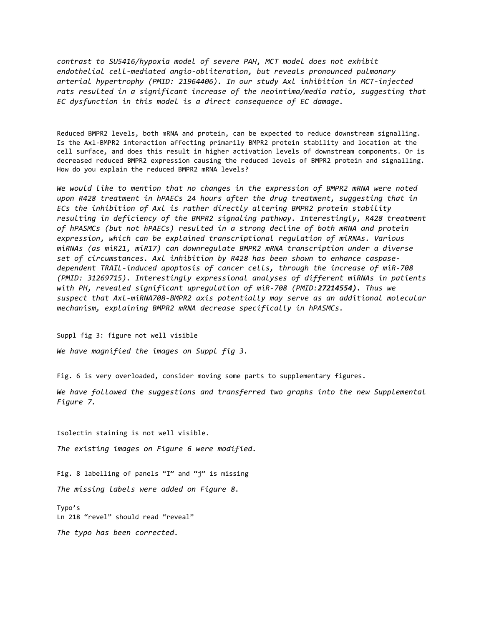*contrast to SU5416/hypoxia model of severe PAH, MCT model does not exhibit endothelial cell-mediated angio-obliteration, but reveals pronounced pulmonary arterial hypertrophy (PMID: 21964406). In our study Axl inhibition in MCT-injected rats resulted in a significant increase of the neointima/media ratio, suggesting that EC dysfunction in this model is a direct consequence of EC damage.* 

Reduced BMPR2 levels, both mRNA and protein, can be expected to reduce downstream signalling. Is the Axl-BMPR2 interaction affecting primarily BMPR2 protein stability and location at the cell surface, and does this result in higher activation levels of downstream components. Or is decreased reduced BMPR2 expression causing the reduced levels of BMPR2 protein and signalling. How do you explain the reduced BMPR2 mRNA levels?

*We would like to mention that no changes in the expression of BMPR2 mRNA were noted upon R428 treatment in hPAECs 24 hours after the drug treatment, suggesting that in ECs the inhibition of Axl is rather directly altering BMPR2 protein stability resulting in deficiency of the BMPR2 signaling pathway. Interestingly, R428 treatment of hPASMCs (but not hPAECs) resulted in a strong decline of both mRNA and protein expression, which can be explained transcriptional regulation of miRNAs. Various miRNAs (as miR21, miR17) can downregulate BMPR2 mRNA transcription under a diverse set of circumstances. Axl inhibition by R428 has been shown to enhance caspasedependent TRAIL-induced apoptosis of cancer cells, through the increase of miR-708 (PMID: 31269715). Interestingly expressional analyses of different miRNAs in patients with PH, revealed significant upregulation of miR-708 (PMID:27214554). Thus we suspect that Axl-miRNA708-BMPR2 axis potentially may serve as an additional molecular mechanism, explaining BMPR2 mRNA decrease specifically in hPASMCs.*

Suppl fig 3: figure not well visible *We have magnified the images on Suppl fig 3.* 

Fig. 6 is very overloaded, consider moving some parts to supplementary figures.

*We have followed the suggestions and transferred two graphs into the new Supplemental Figure 7.*

Isolectin staining is not well visible.

*The existing images on Figure 6 were modified.*

Fig. 8 labelling of panels "I" and "j" is missing

*The missing labels were added on Figure 8.*

Typo's Ln 218 "revel" should read "reveal"

*The typo has been corrected.*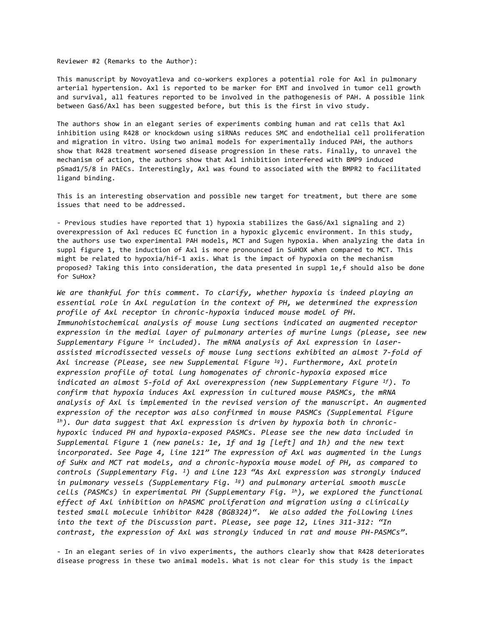Reviewer #2 (Remarks to the Author):

This manuscript by Novoyatleva and co-workers explores a potential role for Axl in pulmonary arterial hypertension. Axl is reported to be marker for EMT and involved in tumor cell growth and survival, all features reported to be involved in the pathogenesis of PAH. A possible link between Gas6/Axl has been suggested before, but this is the first in vivo study.

The authors show in an elegant series of experiments combing human and rat cells that Axl inhibition using R428 or knockdown using siRNAs reduces SMC and endothelial cell proliferation and migration in vitro. Using two animal models for experimentally induced PAH, the authors show that R428 treatment worsened disease progression in these rats. Finally, to unravel the mechanism of action, the authors show that Axl inhibition interfered with BMP9 induced pSmad1/5/8 in PAECs. Interestingly, Axl was found to associated with the BMPR2 to facilitated ligand binding.

This is an interesting observation and possible new target for treatment, but there are some issues that need to be addressed.

- Previous studies have reported that 1) hypoxia stabilizes the Gas6/Axl signaling and 2) overexpression of Axl reduces EC function in a hypoxic glycemic environment. In this study, the authors use two experimental PAH models, MCT and Sugen hypoxia. When analyzing the data in suppl figure 1, the induction of Axl is more pronounced in SuHOX when compared to MCT. This might be related to hypoxia/hif-1 axis. What is the impact of hypoxia on the mechanism proposed? Taking this into consideration, the data presented in suppl 1e,f should also be done for SuHox?

*We are thankful for this comment. To clarify, whether hypoxia is indeed playing an essential role in Axl regulation in the context of PH, we determined the expression profile of Axl receptor in chronic-hypoxia induced mouse model of PH. Immunohistochemical analysis of mouse lung sections indicated an augmented receptor expression in the medial layer of pulmonary arteries of murine lungs (please, see new Supplementary Figure 1e included). The mRNA analysis of Axl expression in laserassisted microdissected vessels of mouse lung sections exhibited an almost 7-fold of Axl increase (Please, see new Supplemental Figure 1g). Furthermore, Axl protein expression profile of total lung homogenates of chronic-hypoxia exposed mice indicated an almost 5-fold of Axl overexpression (new Supplementary Figure 1f). To confirm that hypoxia induces Axl expression in cultured mouse PASMCs, the mRNA analysis of Axl is implemented in the revised version of the manuscript. An augmented expression of the receptor was also confirmed in mouse PASMCs (Supplemental Figure 1h). Our data suggest that Axl expression is driven by hypoxia both in chronichypoxic induced PH and hypoxia-exposed PASMCs. Please see the new data included in Supplemental Figure 1 (new panels: 1e, 1f and 1g [left] and 1h) and the new text incorporated. See Page 4, line 121" The expression of Axl was augmented in the lungs of SuHx and MCT rat models, and a chronic-hypoxia mouse model of PH, as compared to controls (Supplementary Fig. 1) and Line 123 "As Axl expression was strongly induced in pulmonary vessels (Supplementary Fig. 1g) and pulmonary arterial smooth muscle cells (PASMCs) in experimental PH (Supplementary Fig. 1h), we explored the functional effect of Axl inhibition on hPASMC proliferation and migration using a clinically tested small molecule inhibitor R428 (BGB324)". We also added the following lines into the text of the Discussion part. Please, see page 12, Lines 311-312: "In contrast, the expression of Axl was strongly induced in rat and mouse PH-PASMCs".* 

- In an elegant series of in vivo experiments, the authors clearly show that R428 deteriorates disease progress in these two animal models. What is not clear for this study is the impact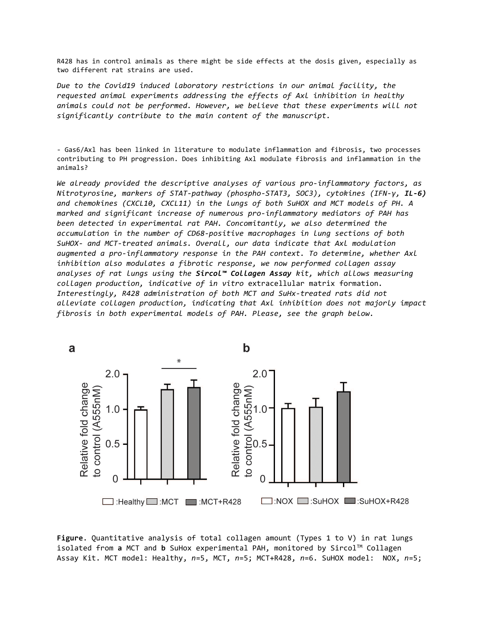R428 has in control animals as there might be side effects at the dosis given, especially as two different rat strains are used.

*Due to the Covid19 induced laboratory restrictions in our animal facility, the requested animal experiments addressing the effects of Axl inhibition in healthy animals could not be performed. However, we believe that these experiments will not significantly contribute to the main content of the manuscript.*

- Gas6/Axl has been linked in literature to modulate inflammation and fibrosis, two processes contributing to PH progression. Does inhibiting Axl modulate fibrosis and inflammation in the animals?

*We already provided the descriptive analyses of various pro-inflammatory factors, as Nitrotyrosine, markers of STAT-pathway (phospho-STAT3, SOC3), cytokines (IFN-γ, IL-6) and chemokines (CXCL10, CXCL11) in the lungs of both SuHOX and MCT models of PH. A marked and significant increase of numerous pro-inflammatory mediators of PAH has been detected in experimental rat PAH. Concomitantly, we also determined the accumulation in the number of CD68-positive macrophages in lung sections of both SuHOX- and MCT-treated animals. Overall, our data indicate that Axl modulation augmented a pro-inflammatory response in the PAH context. To determine, whether Axl inhibition also modulates a fibrotic response, we now performed collagen assay analyses of rat lungs using the Sircol™ Collagen Assay kit, which allows measuring collagen production, indicative of* i*n vitro* extracellular matrix formation*. Interestingly, R428 administration of both MCT and SuHx-treated rats did not alleviate collagen production, indicating that Axl inhibition does not majorly impact fibrosis in both experimental models of PAH. Please, see the graph below.*



**Figure**. Quantitative analysis of total collagen amount (Types 1 to V) in rat lungs isolated from a MCT and **b** SuHox experimental PAH, monitored by Sircol™ Collagen Assay Kit. MCT model: Healthy, *n*=5, MCT, *n*=5; MCT+R428, *n*=6. SuHOX model: NOX, *n*=5;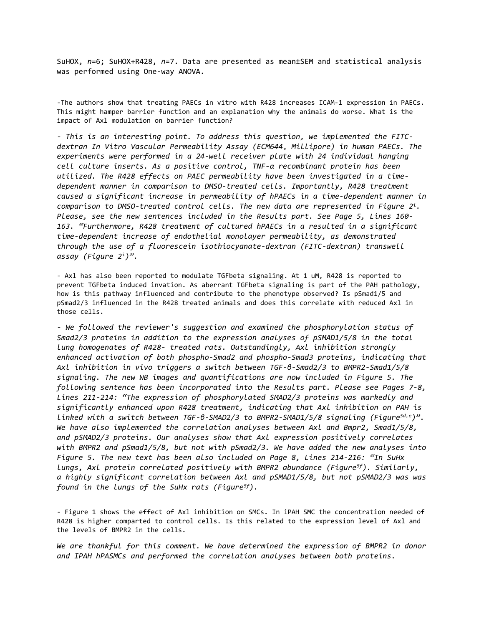SuHOX, *n*=6; SuHOX+R428, *n*=7. Data are presented as mean±SEM and statistical analysis was performed using One-way ANOVA.

-The authors show that treating PAECs in vitro with R428 increases ICAM-1 expression in PAECs. This might hamper barrier function and an explanation why the animals do worse. What is the impact of Axl modulation on barrier function?

*- This is an interesting point. To address this question, we implemented the FITCdextran In Vitro Vascular Permeability Assay (ECM644*, *Millipore) in human PAECs. The experiments were performed in a 24-well receiver plate with 24 individual hanging cell culture inserts. As a positive control, TNF-α recombinant protein has been utilized. The R428 effects on PAEC permeability have been investigated in a timedependent manner in comparison to DMSO-treated cells. Importantly, R428 treatment caused a significant increase in permeability of hPAECs in a time-dependent manner in comparison to DMSO-treated control cells. The new data are represented in Figure 2i. Please, see the new sentences included in the Results part. See Page 5, Lines 160- 163. "Furthermore, R428 treatment of cultured hPAECs in a resulted in a significant time-dependent increase of endothelial monolayer permeability, as demonstrated through the use of a fluorescein isothiocyanate-dextran (FITC-dextran) transwell assay (Figure 2i)".* 

- Axl has also been reported to modulate TGFbeta signaling. At 1 uM, R428 is reported to prevent TGFbeta induced invation. As aberrant TGFbeta signaling is part of the PAH pathology, how is this pathway influenced and contribute to the phenotype observed? Is pSmad1/5 and pSmad2/3 influenced in the R428 treated animals and does this correlate with reduced Axl in those cells.

*- We followed the reviewer's suggestion and examined the phosphorylation status of Smad2/3 proteins in addition to the expression analyses of pSMAD1/5/8 in the total lung homogenates of R428- treated rats. Outstandingly, Axl inhibition strongly enhanced activation of both phospho-Smad2 and phospho-Smad3 proteins, indicating that Axl inhibition in vivo triggers a switch between TGF-β-Smad2/3 to BMPR2-Smad1/5/8 signaling. The new WB images and quantifications are now included in Figure 5. The following sentence has been incorporated into the Results part. Please see Pages 7-8, Lines 211-214: "The expression of phosphorylated SMAD2/3 proteins was markedly and significantly enhanced upon R428 treatment, indicating that Axl inhibition on PAH is linked with a switch between TGF-β-SMAD2/3 to BMPR2-SMAD1/5/8 signaling (Figure5d,e)". We have also implemented the correlation analyses between Axl and Bmpr2, Smad1/5/8, and pSMAD2/3 proteins. Our analyses show that Axl expression positively correlates with BMPR2 and pSmad1/5/8, but not with pSmad2/3. We have added the new analyses into Figure 5. The new text has been also included on Page 8, Lines 214-216: "In SuHx lungs, Axl protein correlated positively with BMPR2 abundance (Figure5f). Similarly, a highly significant correlation between Axl and pSMAD1/5/8, but not pSMAD2/3 was was found in the lungs of the SuHx rats (Figure5f).*

- Figure 1 shows the effect of Axl inhibition on SMCs. In iPAH SMC the concentration needed of R428 is higher comparted to control cells. Is this related to the expression level of Axl and the levels of BMPR2 in the cells.

*We are thankful for this comment. We have determined the expression of BMPR2 in donor and IPAH hPASMCs and performed the correlation analyses between both proteins.*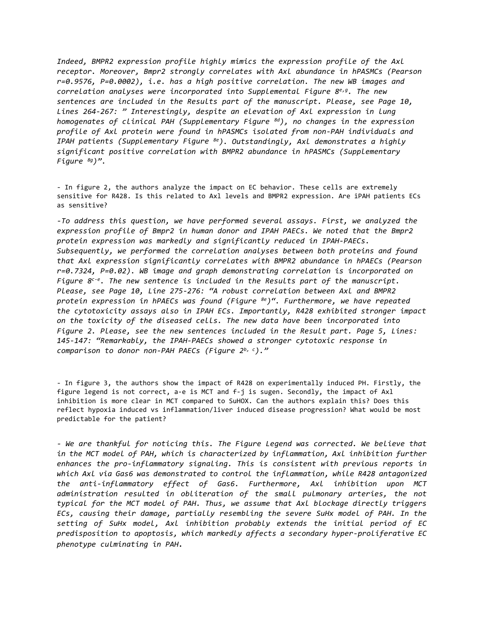*Indeed, BMPR2 expression profile highly mimics the expression profile of the Axl receptor. Moreover, Bmpr2 strongly correlates with Axl abundance in hPASMCs (Pearson r=0.9576, P=0.0002), i.e. has a high positive correlation. The new WB images and correlation analyses were incorporated into Supplemental Figure 8e,g. The new sentences are included in the Results part of the manuscript. Please, see Page 10, Lines 264-267: " Interestingly, despite an elevation of Axl expression in lung homogenates of clinical PAH (Supplementary Figure 8d), no changes in the expression profile of Axl protein were found in hPASMCs isolated from non-PAH individuals and IPAH patients (Supplementary Figure 8e). Outstandingly, Axl demonstrates a highly significant positive correlation with BMPR2 abundance in hPASMCs (Supplementary Figure 8g)".*

- In figure 2, the authors analyze the impact on EC behavior. These cells are extremely sensitive for R428. Is this related to Axl levels and BMPR2 expression. Are iPAH patients ECs as sensitive?

*-To address this question, we have performed several assays. First, we analyzed the expression profile of Bmpr2 in human donor and IPAH PAECs. We noted that the Bmpr2 protein expression was markedly and significantly reduced in IPAH-PAECs. Subsequently, we performed the correlation analyses between both proteins and found that Axl expression significantly correlates with BMPR2 abundance in hPAECs (Pearson r=0.7324, P=0.02). WB image and graph demonstrating correlation is incorporated on Figure 8c-e. The new sentence is included in the Results part of the manuscript. Please, see Page 10, Line 275-276: "A robust correlation between Axl and BMPR2 protein expression in hPAECs was found (Figure 8e)". Furthermore, we have repeated the cytotoxicity assays also in IPAH ECs. Importantly, R428 exhibited stronger impact on the toxicity of the diseased cells. The new data have been incorporated into Figure 2. Please, see the new sentences included in the Result part. Page 5, Lines: 145-147: "Remarkably, the IPAH-PAECs showed a stronger cytotoxic response in comparison to donor non-PAH PAECs (Figure 2b, c)."*

- In figure 3, the authors show the impact of R428 on experimentally induced PH. Firstly, the figure legend is not correct, a-e is MCT and f-j is sugen. Secondly, the impact of Axl inhibition is more clear in MCT compared to SuHOX. Can the authors explain this? Does this reflect hypoxia induced vs inflammation/liver induced disease progression? What would be most predictable for the patient?

*- We are thankful for noticing this. The Figure Legend was corrected. We believe that in the MCT model of PAH, which is characterized by inflammation, Axl inhibition further enhances the pro-inflammatory signaling. This is consistent with previous reports in which Axl via Gas6 was demonstrated to control the inflammation, while R428 antagonized the anti-inflammatory effect of Gas6. Furthermore, Axl inhibition upon MCT administration resulted in obliteration of the small pulmonary arteries, the not typical for the MCT model of PAH. Thus, we assume that Axl blockage directly triggers ECs, causing their damage, partially resembling the severe SuHx model of PAH. In the setting of SuHx model, Axl inhibition probably extends the initial period of EC predisposition to apoptosis, which markedly affects a secondary hyper-proliferative EC phenotype culminating in PAH.*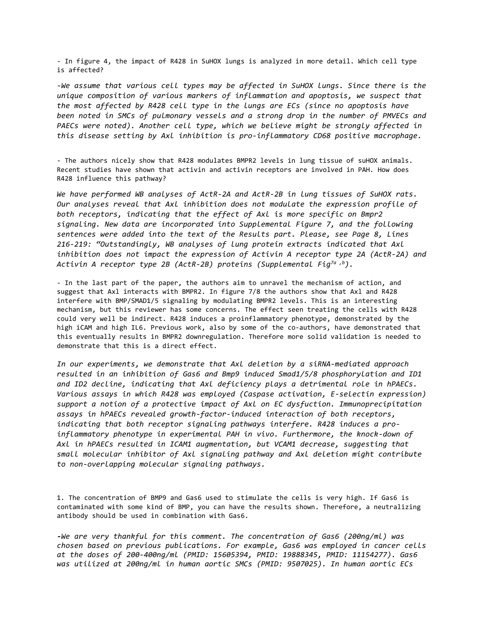- In figure 4, the impact of R428 in SuHOX lungs is analyzed in more detail. Which cell type is affected?

*-We assume that various cell types may be affected in SuHOX lungs. Since there is the unique composition of various markers of inflammation and apoptosis, we suspect that the most affected by R428 cell type in the lungs are ECs (since no apoptosis have been noted in SMCs of pulmonary vessels and a strong drop in the number of PMVECs and PAECs were noted). Another cell type, which we believe might be strongly affected in this disease setting by Axl inhibition is pro-inflammatory CD68 positive macrophage.* 

- The authors nicely show that R428 modulates BMPR2 levels in lung tissue of suHOX animals. Recent studies have shown that activin and activin receptors are involved in PAH. How does R428 influence this pathway?

*We have performed WB analyses of ActR-2A and ActR-2B in lung tissues of SuHOX rats. Our analyses reveal that Axl inhibition does not modulate the expression profile of both receptors, indicating that the effect of Axl is more specific on Bmpr2 signaling. New data are incorporated into Supplemental Figure 7, and the following sentences were added into the text of the Results part. Please, see Page 8, Lines 216-219: "Outstandingly, WB analyses of lung protein extracts indicated that Axl inhibition does not impact the expression of Activin A receptor type 2A (ActR-2A) and Activin A receptor type 2B (ActR-2B) proteins (Supplemental Fig7a ,b).*

- In the last part of the paper, the authors aim to unravel the mechanism of action, and suggest that Axl interacts with BMPR2. In figure 7/8 the authors show that Axl and R428 interfere with BMP/SMAD1/5 signaling by modulating BMPR2 levels. This is an interesting mechanism, but this reviewer has some concerns. The effect seen treating the cells with R428 could very well be indirect. R428 induces a proinflammatory phenotype, demonstrated by the high iCAM and high IL6. Previous work, also by some of the co-authors, have demonstrated that this eventually results in BMPR2 downregulation. Therefore more solid validation is needed to demonstrate that this is a direct effect.

*In our experiments, we demonstrate that Axl deletion by a siRNA-mediated approach resulted in an inhibition of Gas6 and Bmp9 induced Smad1/5/8 phosphorylation and ID1 and ID2 decline, indicating that Axl deficiency plays a detrimental role in hPAECs. Various assays in which R428 was employed (Caspase activation, E-selectin expression) support a notion of a protective impact of Axl on EC dysfuction. Immunoprecipitation assays in hPAECs revealed growth-factor-induced interaction of both receptors, indicating that both receptor signaling pathways interfere. R428 induces a proinflammatory phenotype in experimental PAH in vivo. Furthermore, the knock-down of Axl in hPAECs resulted in ICAM1 augmentation, but VCAM1 decrease, suggesting that small molecular inhibitor of Axl signaling pathway and Axl deletion might contribute to non-overlapping molecular signaling pathways.*

1. The concentration of BMP9 and Gas6 used to stimulate the cells is very high. If Gas6 is contaminated with some kind of BMP, you can have the results shown. Therefore, a neutralizing antibody should be used in combination with Gas6.

*-We are very thankful for this comment. The concentration of Gas6 (200ng/ml) was chosen based on previous publications. For example, Gas6 was employed in cancer cells at the doses of 200-400ng/ml (PMID: 15605394, PMID: 19888345, PMID: 11154277). Gas6 was utilized at 200ng/ml in human aortic SMCs (PMID: 9507025). In human aortic ECs*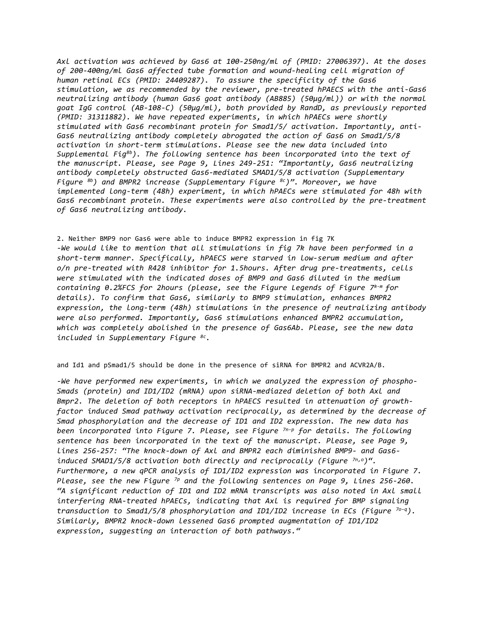*Axl activation was achieved by Gas6 at 100-250ng/ml of (PMID: 27006397). At the doses of 200-400ng/ml Gas6 affected tube formation and wound-healing cell migration of human retinal ECs (PMID: 24409287). To assure the specificity of the Gas6 stimulation, we as recommended by the reviewer, pre-treated hPAECS with the anti-Gas6 neutralizing antibody (human Gas6 goat antibody (AB885) (50µg/ml)) or with the normal goat IgG control (AB-108-C) (50µg/ml), both provided by RandD, as previously reported (PMID: 31311882). We have repeated experiments, in which hPAECs were shortly stimulated with Gas6 recombinant protein for Smad1/5/ activation. Importantly, anti-Gas6 neutralizing antibody completely abrogated the action of Gas6 on Smad1/5/8 activation in short-term stimulations. Please see the new data included into Supplemental Fig8b). The following sentence has been incorporated into the text of the manuscript. Please, see Page 9, Lines 249-251: "Importantly, Gas6 neutralizing antibody completely obstructed Gas6-mediated SMAD1/5/8 activation (Supplementary Figure 8b) and BMPR2 increase (Supplementary Figure 8c)". Moreover, we have implemented long-term (48h) experiment, in which hPAECs were stimulated for 48h with*  Gas6 recombinant protein. These experiments were also controlled by the pre-treatment *of Gas6 neutralizing antibody.* 

2. Neither BMP9 nor Gas6 were able to induce BMPR2 expression in fig 7K *-We would like to mention that all stimulations in fig 7k have been performed in a short-term manner. Specifically, hPAECS were starved in low-serum medium and after o/n pre-treated with R428 inhibitor for 1.5hours. After drug pre-treatments, cells were stimulated with the indicated doses of BMP9 and Gas6 diluted in the medium containing 0.2%FCS for 2hours (please, see the Figure Legends of Figure 7k-m for details). To confirm that Gas6, similarly to BMP9 stimulation, enhances BMPR2 expression, the long-term (48h) stimulations in the presence of neutralizing antibody were also performed. Importantly, Gas6 stimulations enhanced BMPR2 accumulation, which was completely abolished in the presence of Gas6Ab. Please, see the new data included in Supplementary Figure 8c.*

and Id1 and pSmad1/5 should be done in the presence of siRNA for BMPR2 and ACVR2A/B.

*-We have performed new experiments, in which we analyzed the expression of phospho-Smads (protein) and ID1/ID2 (mRNA) upon siRNA-mediazed deletion of both Axl and Bmpr2. The deletion of both receptors in hPAECS resulted in attenuation of growthfactor induced Smad pathway activation reciprocally, as determined by the decrease of Smad phosphorylation and the decrease of ID1 and ID2 expression. The new data has been incorporated into Figure 7. Please, see Figure 7n-p for details. The following sentence has been incorporated in the text of the manuscript. Please, see Page 9, lines 256-257: "The knock-down of Axl and BMPR2 each diminished BMP9- and Gas6 induced SMAD1/5/8 activation both directly and reciprocally (Figure*  $7n, o$ *)*". *Furthermore, a new qPCR analysis of ID1/ID2 expression was incorporated in Figure 7. Please, see the new Figure 7p and the following sentences on Page 9, Lines 256-260. "A significant reduction of ID1 and ID2 mRNA transcripts was also noted in Axl small interfering RNA-treated hPAECs, indicating that Axl is required for BMP signaling transduction to Smad1/5/8 phosphorylation and ID1/ID2 increase in ECs (Figure 7o–q). Similarly, BMPR2 knock-down lessened Gas6 prompted augmentation of ID1/ID2 expression, suggesting an interaction of both pathways."*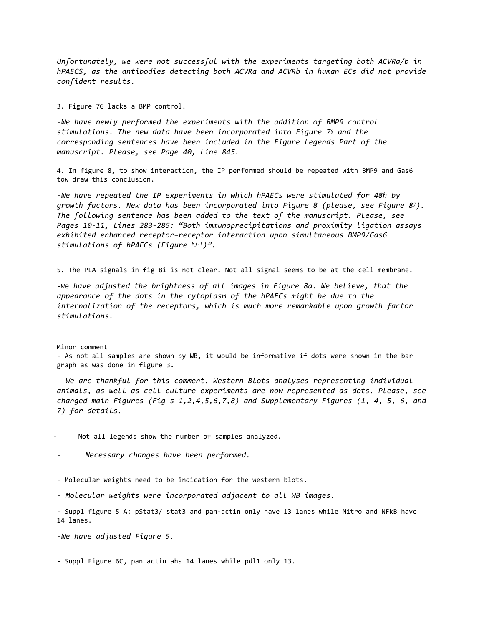*Unfortunately, we were not successful with the experiments targeting both ACVRa/b in hPAECS, as the antibodies detecting both ACVRa and ACVRb in human ECs did not provide confident results.*

3. Figure 7G lacks a BMP control.

*-We have newly performed the experiments with the addition of BMP9 control stimulations. The new data have been incorporated into Figure 7g and the corresponding sentences have been included in the Figure Legends Part of the manuscript. Please, see Page 40, Line 845.*

4. In figure 8, to show interaction, the IP performed should be repeated with BMP9 and Gas6 tow draw this conclusion.

*-We have repeated the IP experiments in which hPAECs were stimulated for 48h by growth factors. New data has been incorporated into Figure 8 (please, see Figure 8j). The following sentence has been added to the text of the manuscript. Please, see Pages 10-11, Lines 283-285: "Both immunoprecipitations and proximity ligation assays exhibited enhanced receptor–receptor interaction upon simultaneous BMP9/Gas6 stimulations of hPAECs (Figure 8j-l)".*

5. The PLA signals in fig 8i is not clear. Not all signal seems to be at the cell membrane.

*-W*e *have adjusted the brightness of all images in Figure 8a. We believe, that the appearance of the dots in the cytoplasm of the hPAECs might be due to the internalization of the receptors, which is much more remarkable upon growth factor stimulations.* 

Minor comment

- As not all samples are shown by WB, it would be informative if dots were shown in the bar graph as was done in figure 3.

*- We are thankful for this comment. Western Blots analyses representing individual animals, as well as cell culture experiments are now represented as dots. Please, see changed main Figures (Fig-s 1,2,4,5,6,7,8) and Supplementary Figures (1, 4, 5, 6, and 7) for details.* 

Not all legends show the number of samples analyzed.

- *Necessary changes have been performed.*

- Molecular weights need to be indication for the western blots.

*- Molecular weights were incorporated adjacent to all WB images.*

- Suppl figure 5 A: pStat3/ stat3 and pan-actin only have 13 lanes while Nitro and NFkB have 14 lanes.

*-We have adjusted Figure 5.*

- Suppl Figure 6C, pan actin ahs 14 lanes while pdl1 only 13.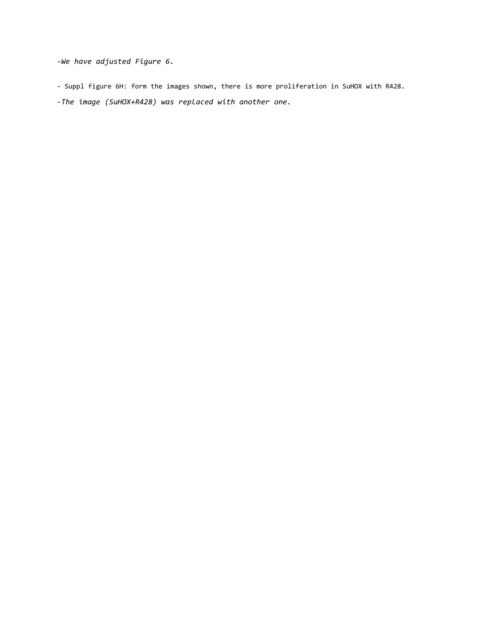*-We have adjusted Figure 6.*

- Suppl figure 6H: form the images shown, there is more proliferation in SuHOX with R428.
- *-The image (SuHOX+R428) was replaced with another one.*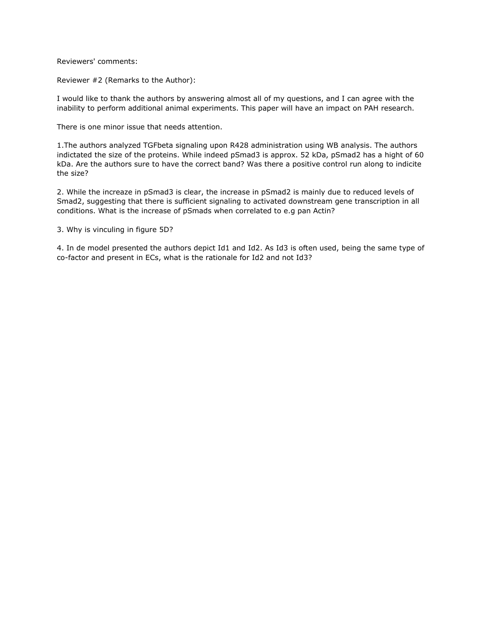Reviewers' comments:

Reviewer #2 (Remarks to the Author):

I would like to thank the authors by answering almost all of my questions, and I can agree with the inability to perform additional animal experiments. This paper will have an impact on PAH research.

There is one minor issue that needs attention.

1.The authors analyzed TGFbeta signaling upon R428 administration using WB analysis. The authors indictated the size of the proteins. While indeed pSmad3 is approx. 52 kDa, pSmad2 has a hight of 60 kDa. Are the authors sure to have the correct band? Was there a positive control run along to indicite the size?

2. While the increaze in pSmad3 is clear, the increase in pSmad2 is mainly due to reduced levels of Smad2, suggesting that there is sufficient signaling to activated downstream gene transcription in all conditions. What is the increase of pSmads when correlated to e.g pan Actin?

3. Why is vinculing in figure 5D?

4. In de model presented the authors depict Id1 and Id2. As Id3 is often used, being the same type of co-factor and present in ECs, what is the rationale for Id2 and not Id3?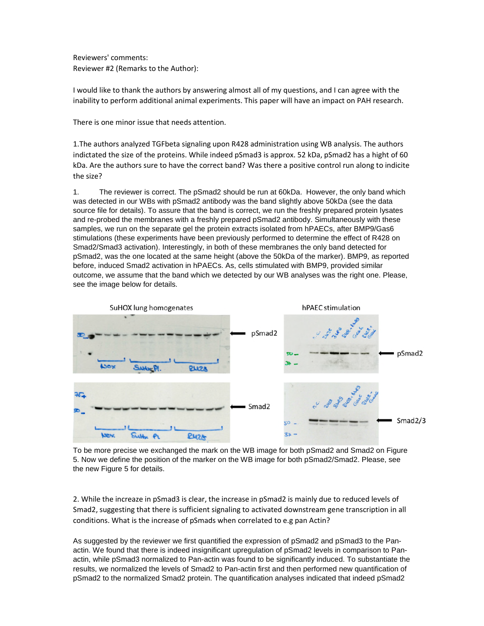Reviewers' comments: Reviewer #2 (Remarks to the Author):

I would like to thank the authors by answering almost all of my questions, and I can agree with the inability to perform additional animal experiments. This paper will have an impact on PAH research.

There is one minor issue that needs attention.

1.The authors analyzed TGFbeta signaling upon R428 administration using WB analysis. The authors indictated the size of the proteins. While indeed pSmad3 is approx. 52 kDa, pSmad2 has a hight of 60 kDa. Are the authors sure to have the correct band? Was there a positive control run along to indicite the size?

1. The reviewer is correct. The pSmad2 should be run at 60kDa. However, the only band which was detected in our WBs with pSmad2 antibody was the band slightly above 50kDa (see the data source file for details). To assure that the band is correct, we run the freshly prepared protein lysates and re-probed the membranes with a freshly prepared pSmad2 antibody. Simultaneously with these samples, we run on the separate gel the protein extracts isolated from hPAECs, after BMP9/Gas6 stimulations (these experiments have been previously performed to determine the effect of R428 on Smad2/Smad3 activation). Interestingly, in both of these membranes the only band detected for pSmad2, was the one located at the same height (above the 50kDa of the marker). BMP9, as reported before, induced Smad2 activation in hPAECs. As, cells stimulated with BMP9, provided similar outcome, we assume that the band which we detected by our WB analyses was the right one. Please, see the image below for details.



To be more precise we exchanged the mark on the WB image for both pSmad2 and Smad2 on Figure 5. Now we define the position of the marker on the WB image for both pSmad2/Smad2. Please, see the new Figure 5 for details.

2. While the increaze in pSmad3 is clear, the increase in pSmad2 is mainly due to reduced levels of Smad2, suggesting that there is sufficient signaling to activated downstream gene transcription in all conditions. What is the increase of pSmads when correlated to e.g pan Actin?

As suggested by the reviewer we first quantified the expression of pSmad2 and pSmad3 to the Panactin. We found that there is indeed insignificant upregulation of pSmad2 levels in comparison to Panactin, while pSmad3 normalized to Pan-actin was found to be significantly induced. To substantiate the results, we normalized the levels of Smad2 to Pan-actin first and then performed new quantification of pSmad2 to the normalized Smad2 protein. The quantification analyses indicated that indeed pSmad2